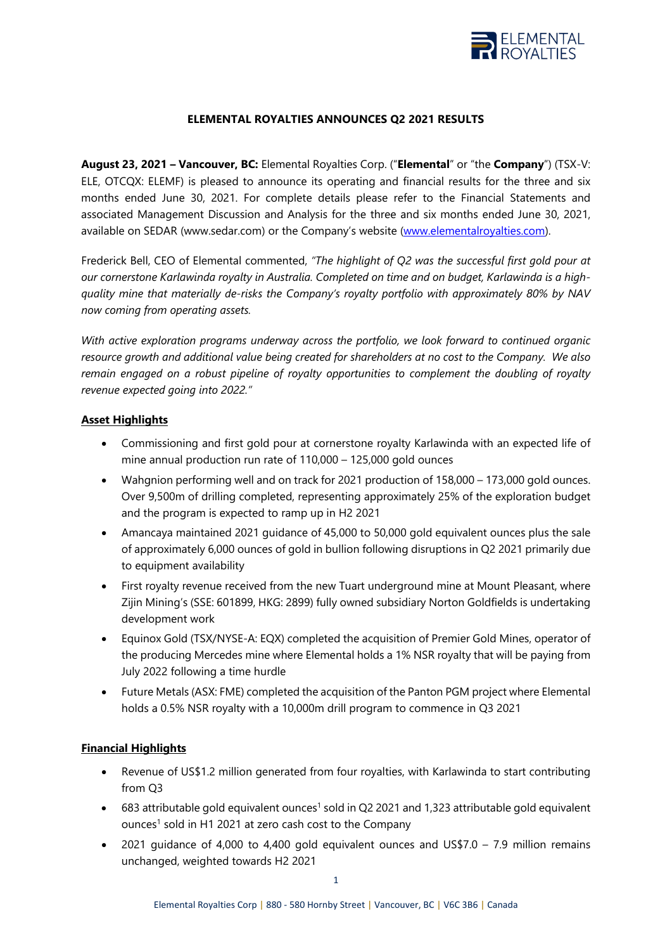

#### **ELEMENTAL ROYALTIES ANNOUNCES Q2 2021 RESULTS**

**August 23, 2021 – Vancouver, BC:** Elemental Royalties Corp. ("**Elemental**" or "the **Company**") (TSX-V: ELE, OTCQX: ELEMF) is pleased to announce its operating and financial results for the three and six months ended June 30, 2021. For complete details please refer to the Financial Statements and associated Management Discussion and Analysis for the three and six months ended June 30, 2021, available on SEDAR (www.sedar.com) or the Company's website [\(www.elementalroyalties.com\)](http://www.elementalroyalties.com/).

Frederick Bell, CEO of Elemental commented, *"The highlight of Q2 was the successful first gold pour at our cornerstone Karlawinda royalty in Australia. Completed on time and on budget, Karlawinda is a highquality mine that materially de-risks the Company's royalty portfolio with approximately 80% by NAV now coming from operating assets.* 

*With active exploration programs underway across the portfolio, we look forward to continued organic resource growth and additional value being created for shareholders at no cost to the Company. We also remain engaged on a robust pipeline of royalty opportunities to complement the doubling of royalty revenue expected going into 2022."*

#### **Asset Highlights**

- Commissioning and first gold pour at cornerstone royalty Karlawinda with an expected life of mine annual production run rate of 110,000 – 125,000 gold ounces
- Wahgnion performing well and on track for 2021 production of 158,000 173,000 gold ounces. Over 9,500m of drilling completed, representing approximately 25% of the exploration budget and the program is expected to ramp up in H2 2021
- Amancaya maintained 2021 guidance of 45,000 to 50,000 gold equivalent ounces plus the sale of approximately 6,000 ounces of gold in bullion following disruptions in Q2 2021 primarily due to equipment availability
- First royalty revenue received from the new Tuart underground mine at Mount Pleasant, where Zijin Mining's (SSE: 601899, HKG: 2899) fully owned subsidiary Norton Goldfields is undertaking development work
- Equinox Gold (TSX/NYSE-A: EQX) completed the acquisition of Premier Gold Mines, operator of the producing Mercedes mine where Elemental holds a 1% NSR royalty that will be paying from July 2022 following a time hurdle
- Future Metals (ASX: FME) completed the acquisition of the Panton PGM project where Elemental holds a 0.5% NSR royalty with a 10,000m drill program to commence in Q3 2021

#### **Financial Highlights**

- Revenue of US\$1.2 million generated from four royalties, with Karlawinda to start contributing from Q3
- $\bullet$  683 attributable gold equivalent ounces<sup>1</sup> sold in Q2 2021 and 1,323 attributable gold equivalent ounces<sup>1</sup> sold in H1 2021 at zero cash cost to the Company
- 2021 guidance of 4,000 to 4,400 gold equivalent ounces and US\$7.0 7.9 million remains unchanged, weighted towards H2 2021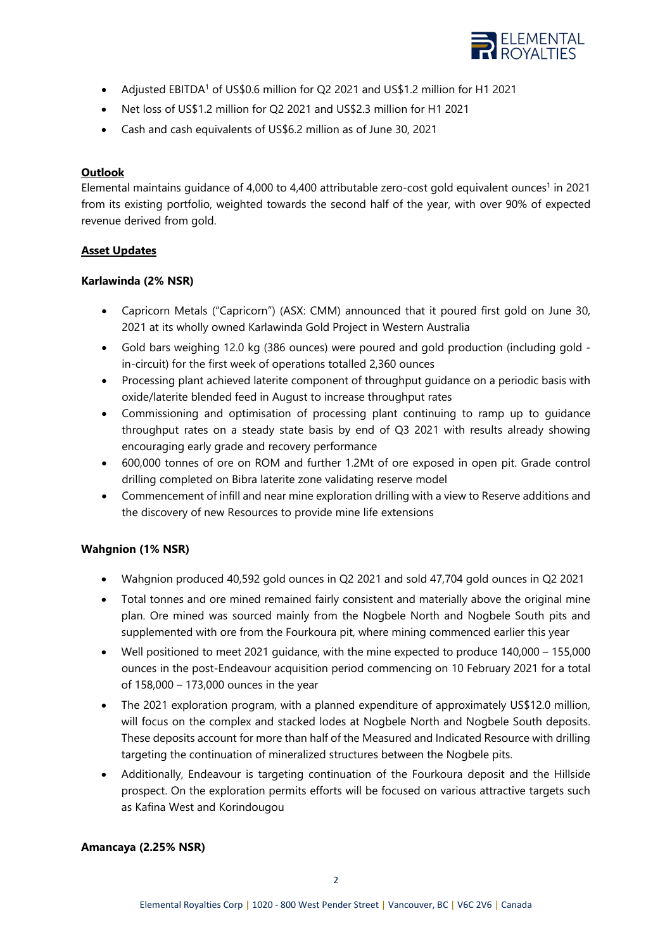

- Adjusted EBITDA<sup>1</sup> of US\$0.6 million for Q2 2021 and US\$1.2 million for H1 2021
- Net loss of US\$1.2 million for Q2 2021 and US\$2.3 million for H1 2021
- Cash and cash equivalents of US\$6.2 million as of June 30, 2021

## **Outlook**

Elemental maintains guidance of 4,000 to 4,400 attributable zero-cost gold equivalent ounces<sup>1</sup> in 2021 from its existing portfolio, weighted towards the second half of the year, with over 90% of expected revenue derived from gold.

## **Asset Updates**

## **Karlawinda (2% NSR)**

- Capricorn Metals ("Capricorn") (ASX: CMM) announced that it poured first gold on June 30, 2021 at its wholly owned Karlawinda Gold Project in Western Australia
- Gold bars weighing 12.0 kg (386 ounces) were poured and gold production (including gold in-circuit) for the first week of operations totalled 2,360 ounces
- Processing plant achieved laterite component of throughput guidance on a periodic basis with oxide/laterite blended feed in August to increase throughput rates
- Commissioning and optimisation of processing plant continuing to ramp up to guidance throughput rates on a steady state basis by end of Q3 2021 with results already showing encouraging early grade and recovery performance
- 600,000 tonnes of ore on ROM and further 1.2Mt of ore exposed in open pit. Grade control drilling completed on Bibra laterite zone validating reserve model
- Commencement of infill and near mine exploration drilling with a view to Reserve additions and the discovery of new Resources to provide mine life extensions

# **Wahgnion (1% NSR)**

- Wahgnion produced 40,592 gold ounces in Q2 2021 and sold 47,704 gold ounces in Q2 2021
- Total tonnes and ore mined remained fairly consistent and materially above the original mine plan. Ore mined was sourced mainly from the Nogbele North and Nogbele South pits and supplemented with ore from the Fourkoura pit, where mining commenced earlier this year
- Well positioned to meet 2021 guidance, with the mine expected to produce 140,000 155,000 ounces in the post-Endeavour acquisition period commencing on 10 February 2021 for a total of 158,000 – 173,000 ounces in the year
- The 2021 exploration program, with a planned expenditure of approximately US\$12.0 million, will focus on the complex and stacked lodes at Nogbele North and Nogbele South deposits. These deposits account for more than half of the Measured and Indicated Resource with drilling targeting the continuation of mineralized structures between the Nogbele pits.
- Additionally, Endeavour is targeting continuation of the Fourkoura deposit and the Hillside prospect. On the exploration permits efforts will be focused on various attractive targets such as Kafina West and Korindougou

## **Amancaya (2.25% NSR)**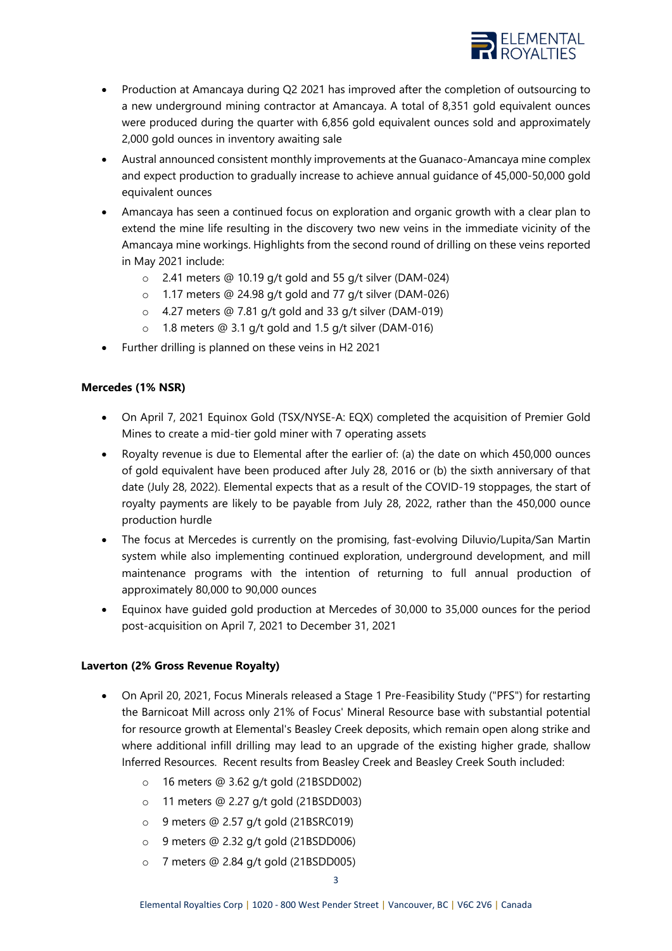

- Production at Amancaya during Q2 2021 has improved after the completion of outsourcing to a new underground mining contractor at Amancaya. A total of 8,351 gold equivalent ounces were produced during the quarter with 6,856 gold equivalent ounces sold and approximately 2,000 gold ounces in inventory awaiting sale
- Austral announced consistent monthly improvements at the Guanaco-Amancaya mine complex and expect production to gradually increase to achieve annual guidance of 45,000-50,000 gold equivalent ounces
- Amancaya has seen a continued focus on exploration and organic growth with a clear plan to extend the mine life resulting in the discovery two new veins in the immediate vicinity of the Amancaya mine workings. Highlights from the second round of drilling on these veins reported in May 2021 include:
	- o 2.41 meters @ 10.19 g/t gold and 55 g/t silver (DAM-024)
	- o 1.17 meters @ 24.98 g/t gold and 77 g/t silver (DAM-026)
	- o 4.27 meters @ 7.81 g/t gold and 33 g/t silver (DAM-019)
	- o 1.8 meters @ 3.1 g/t gold and 1.5 g/t silver (DAM-016)
- Further drilling is planned on these veins in H2 2021

#### **Mercedes (1% NSR)**

- On April 7, 2021 Equinox Gold (TSX/NYSE-A: EQX) completed the acquisition of Premier Gold Mines to create a mid-tier gold miner with 7 operating assets
- Royalty revenue is due to Elemental after the earlier of: (a) the date on which 450,000 ounces of gold equivalent have been produced after July 28, 2016 or (b) the sixth anniversary of that date (July 28, 2022). Elemental expects that as a result of the COVID-19 stoppages, the start of royalty payments are likely to be payable from July 28, 2022, rather than the 450,000 ounce production hurdle
- The focus at Mercedes is currently on the promising, fast-evolving Diluvio/Lupita/San Martin system while also implementing continued exploration, underground development, and mill maintenance programs with the intention of returning to full annual production of approximately 80,000 to 90,000 ounces
- Equinox have guided gold production at Mercedes of 30,000 to 35,000 ounces for the period post-acquisition on April 7, 2021 to December 31, 2021

#### **Laverton (2% Gross Revenue Royalty)**

- On April 20, 2021, Focus Minerals released a Stage 1 Pre-Feasibility Study ("PFS") for restarting the Barnicoat Mill across only 21% of Focus' Mineral Resource base with substantial potential for resource growth at Elemental's Beasley Creek deposits, which remain open along strike and where additional infill drilling may lead to an upgrade of the existing higher grade, shallow Inferred Resources. Recent results from Beasley Creek and Beasley Creek South included:
	- o 16 meters @ 3.62 g/t gold (21BSDD002)
	- o 11 meters @ 2.27 g/t gold (21BSDD003)
	- o 9 meters @ 2.57 g/t gold (21BSRC019)
	- o 9 meters @ 2.32 g/t gold (21BSDD006)
	- o 7 meters @ 2.84 g/t gold (21BSDD005)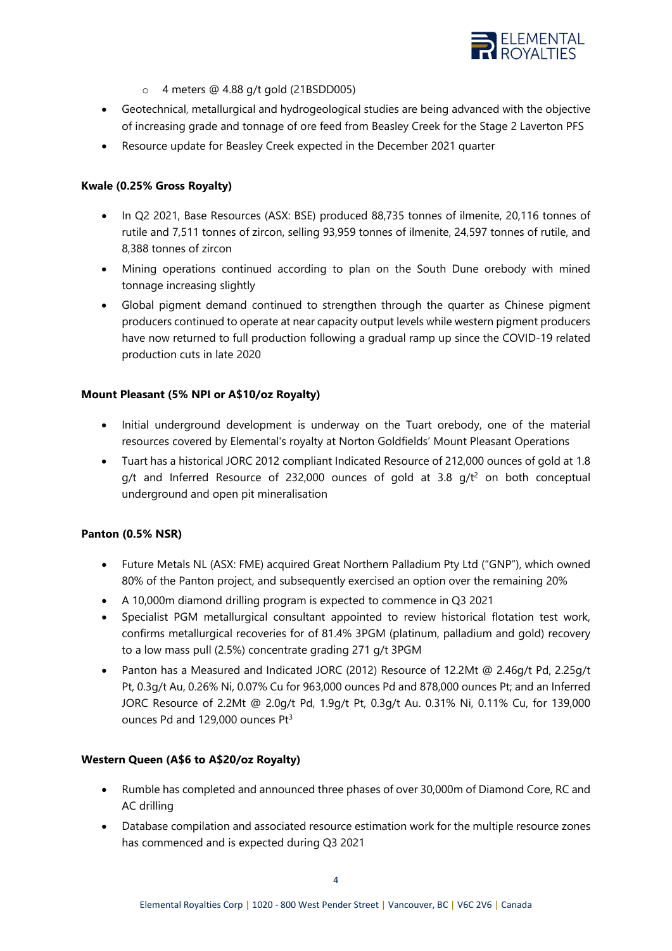

- o 4 meters @ 4.88 g/t gold (21BSDD005)
- Geotechnical, metallurgical and hydrogeological studies are being advanced with the objective of increasing grade and tonnage of ore feed from Beasley Creek for the Stage 2 Laverton PFS
- Resource update for Beasley Creek expected in the December 2021 quarter

#### **Kwale (0.25% Gross Royalty)**

- In Q2 2021, Base Resources (ASX: BSE) produced 88,735 tonnes of ilmenite, 20,116 tonnes of rutile and 7,511 tonnes of zircon, selling 93,959 tonnes of ilmenite, 24,597 tonnes of rutile, and 8,388 tonnes of zircon
- Mining operations continued according to plan on the South Dune orebody with mined tonnage increasing slightly
- Global pigment demand continued to strengthen through the quarter as Chinese pigment producers continued to operate at near capacity output levels while western pigment producers have now returned to full production following a gradual ramp up since the COVID-19 related production cuts in late 2020

#### **Mount Pleasant (5% NPI or A\$10/oz Royalty)**

- Initial underground development is underway on the Tuart orebody, one of the material resources covered by Elemental's royalty at Norton Goldfields' Mount Pleasant Operations
- Tuart has a historical JORC 2012 compliant Indicated Resource of 212,000 ounces of gold at 1.8  $q/t$  and Inferred Resource of 232,000 ounces of gold at 3.8  $q/t^2$  on both conceptual underground and open pit mineralisation

#### **Panton (0.5% NSR)**

- Future Metals NL (ASX: FME) acquired Great Northern Palladium Pty Ltd ("GNP"), which owned 80% of the Panton project, and subsequently exercised an option over the remaining 20%
- A 10,000m diamond drilling program is expected to commence in Q3 2021
- Specialist PGM metallurgical consultant appointed to review historical flotation test work, confirms metallurgical recoveries for of 81.4% 3PGM (platinum, palladium and gold) recovery to a low mass pull (2.5%) concentrate grading 271 g/t 3PGM
- Panton has a Measured and Indicated JORC (2012) Resource of 12.2Mt @ 2.46g/t Pd, 2.25g/t Pt, 0.3g/t Au, 0.26% Ni, 0.07% Cu for 963,000 ounces Pd and 878,000 ounces Pt; and an Inferred JORC Resource of 2.2Mt @ 2.0g/t Pd, 1.9g/t Pt, 0.3g/t Au. 0.31% Ni, 0.11% Cu, for 139,000 ounces Pd and 129,000 ounces Pt<sup>3</sup>

#### **Western Queen (A\$6 to A\$20/oz Royalty)**

- Rumble has completed and announced three phases of over 30,000m of Diamond Core, RC and AC drilling
- Database compilation and associated resource estimation work for the multiple resource zones has commenced and is expected during Q3 2021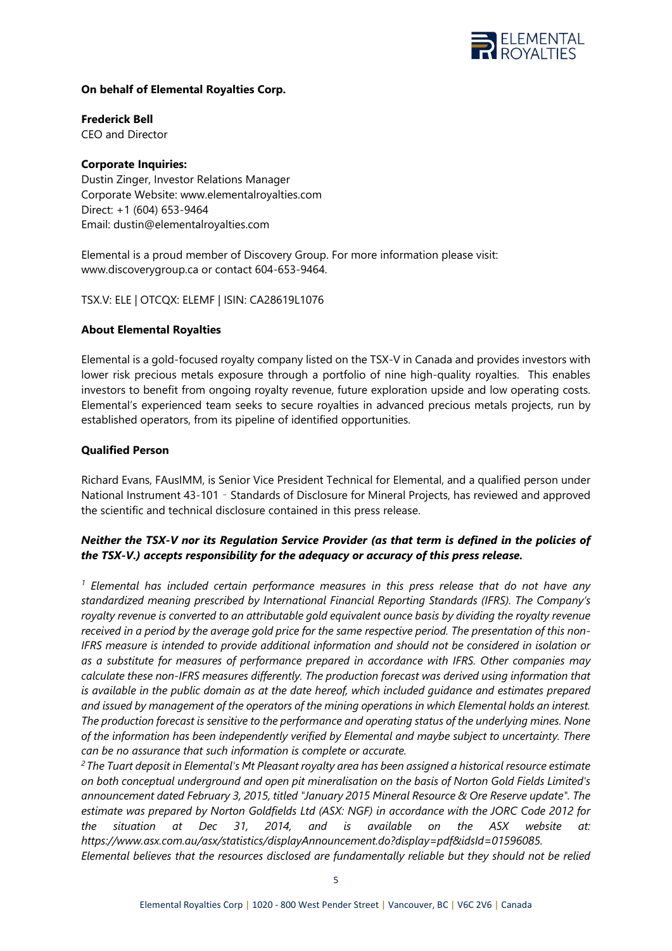

#### **On behalf of Elemental Royalties Corp.**

**Frederick Bell**

CEO and Director

## **Corporate Inquiries:**

Dustin Zinger, Investor Relations Manager Corporate Website: [www.elementalroyalties.com](http://www.elementalroyalties.com/) Direct: +1 (604) 653-9464 Email: [dustin@elementalroyalties.com](mailto:dustin@elementalroyalties.com)

Elemental is a proud member of Discovery Group. For more information please visit: [www.discoverygroup.ca](http://www.discoverygroup.ca/) or contact 604-653-9464.

TSX.V: ELE | OTCQX: ELEMF | ISIN: CA28619L1076

## **About Elemental Royalties**

Elemental is a gold-focused royalty company listed on the TSX-V in Canada and provides investors with lower risk precious metals exposure through a portfolio of nine high-quality royalties. This enables investors to benefit from ongoing royalty revenue, future exploration upside and low operating costs. Elemental's experienced team seeks to secure royalties in advanced precious metals projects, run by established operators, from its pipeline of identified opportunities.

#### **Qualified Person**

Richard Evans, FAusIMM, is Senior Vice President Technical for Elemental, and a qualified person under National Instrument 43-101 – Standards of Disclosure for Mineral Projects, has reviewed and approved the scientific and technical disclosure contained in this press release.

## *Neither the TSX-V nor its Regulation Service Provider (as that term is defined in the policies of the TSX-V.) accepts responsibility for the adequacy or accuracy of this press release.*

*<sup>1</sup> Elemental has included certain performance measures in this press release that do not have any standardized meaning prescribed by International Financial Reporting Standards (IFRS). The Company's royalty revenue is converted to an attributable gold equivalent ounce basis by dividing the royalty revenue received in a period by the average gold price for the same respective period. The presentation of this non-IFRS measure is intended to provide additional information and should not be considered in isolation or as a substitute for measures of performance prepared in accordance with IFRS. Other companies may calculate these non-IFRS measures differently. The production forecast was derived using information that is available in the public domain as at the date hereof, which included guidance and estimates prepared and issued by management of the operators of the mining operations in which Elemental holds an interest. The production forecast is sensitive to the performance and operating status of the underlying mines. None of the information has been independently verified by Elemental and maybe subject to uncertainty. There can be no assurance that such information is complete or accurate.*

*2 The Tuart deposit in Elemental's Mt Pleasant royalty area has been assigned a historical resource estimate on both conceptual underground and open pit mineralisation on the basis of Norton Gold Fields Limited's announcement dated February 3, 2015, titled "January 2015 Mineral Resource & Ore Reserve update". The estimate was prepared by Norton Goldfields Ltd (ASX: NGF) in accordance with the JORC Code 2012 for the situation at Dec 31, 2014, and is available on the ASX website at: [https://www.asx.com.au/asx/statistics/displayAnnouncement.do?display=pdf&idsId=01596085.](https://www.asx.com.au/asx/statistics/displayAnnouncement.do?display=pdf&idsId=01596085)* 

*Elemental believes that the resources disclosed are fundamentally reliable but they should not be relied*